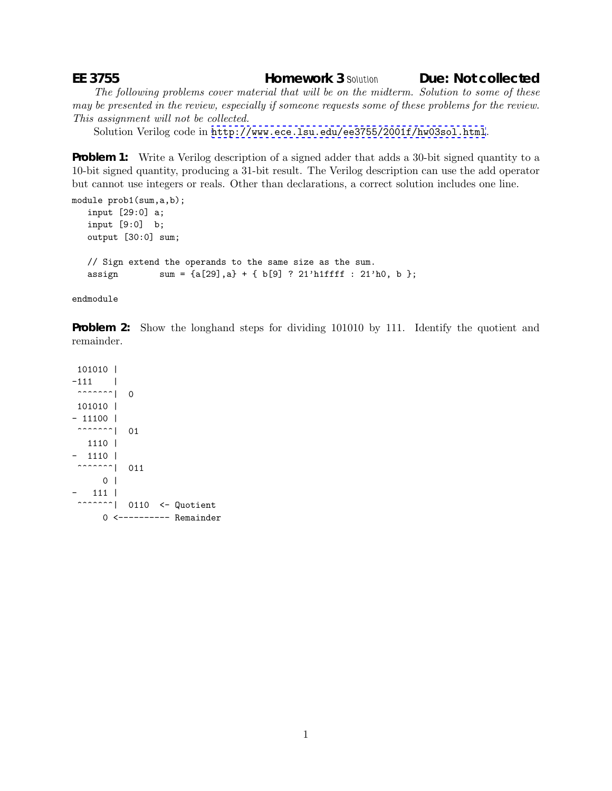**EE 3755 Homework 3** *Solution* **Due: Not collected**

*The following problems cover material that will be on the midterm. Solution to some of these may be presented in the review, especially if someone requests some of these problems for the review. This assignment will not be collected.*

Solution Verilog code in <http://www.ece.lsu.edu/ee3755/2001f/hw03sol.html>.

**Problem 1:** Write a Verilog description of a signed adder that adds a 30-bit signed quantity to a 10-bit signed quantity, producing a 31-bit result. The Verilog description can use the add operator but cannot use integers or reals. Other than declarations, a correct solution includes one line.

```
module prob1(sum,a,b);
 input [29:0] a;
 input [9:0] b;
output [30:0] sum;
// Sign extend the operands to the same size as the sum.
assign sum = {a[29], a} + {b[9]} ? 21' h1ffff : 21' h0, b};
```
endmodule

**Problem 2:** Show the longhand steps for dividing 101010 by 111. Identify the quotient and remainder.

101010 |  $-111$  |  $\sim$   $\sim$   $\sim$   $\sim$   $\sim$   $\sim$   $\sim$  0 101010 |  $- 11100$  |  $\left\lfloor \left( \begin{array}{cc} 0 & 0 \\ 0 & 0 \end{array} \right) \right\rfloor$ 1110 |  $- 1110$  | ^^^^^^^^| 011  $0<sup>1</sup>$ - 111 | ^^^^^^^^| 0110 <- Quotient 0 <---------- Remainder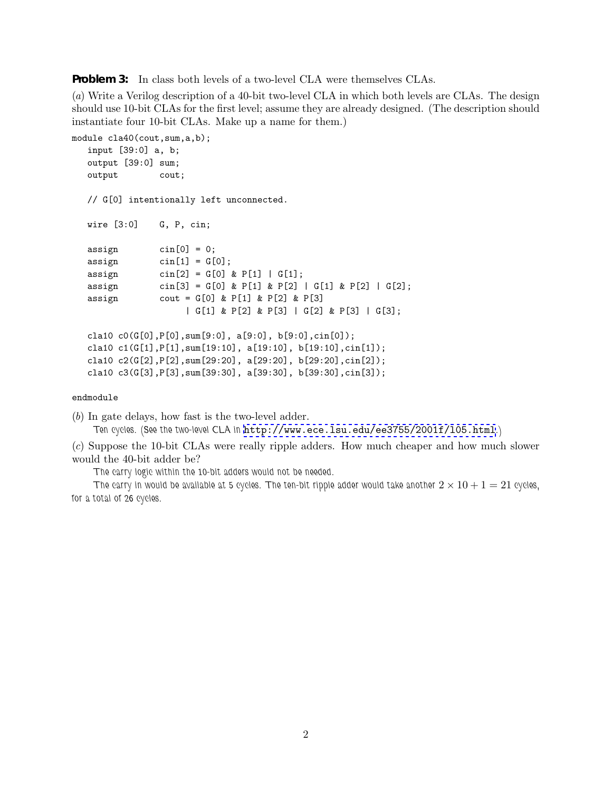**Problem 3:** In class both levels of a two-level CLA were themselves CLAs.

(*a*) Write a Verilog description of a 40-bit two-level CLA in which both levels are CLAs. The design should use 10-bit CLAs for the first level; assume they are already designed. (The description should instantiate four 10-bit CLAs. Make up a name for them.)

```
module cla40(cout, sum, a, b);
 input [39:0] a, b;
output [39:0] sum;
output cout;
// G[0] intentionally left unconnected.
wire [3:0] G, P, cin;
\text{assign} \text{cin}[0] = 0;assign \operatorname{cin}[1] = G[0];assign \text{cin}[2] = G[0] \& P[1] | G[1];assign \text{cin}[3] = G[0] \& P[1] \& P[2] | G[1] \& P[2] | G[2];assign cout = G[0] & P[1] & P[2] & P[3]| G[1] & P[2] & P[3] | G[2] & P[3] | G[3];
cla10 c0(G[0],P[0],sum[9:0], a[9:0], b[9:0],cin[0]);
cla10 c1(G[1],P[1],sum[19:10], a[19:10], b[19:10],cin[1]);
 cla10 c2(G[2],P[2],sum[29:20], a[29:20], b[29:20],cin[2]);
 cla10 c3(G[3],P[3],sum[39:30], a[39:30], b[39:30],cin[3]);
```
## endmodule

(*b*) In gate delays, how fast is the two-level adder.

*Ten cycles. (See the two-level CLA in* <http://www.ece.lsu.edu/ee3755/2001f/l05.html>*.)*

(*c*) Suppose the 10-bit CLAs were really ripple adders. How much cheaper and how much slower would the 40-bit adder be?

*The carry logic within the 10-bit adders would not be needed.*

*The carry in would be available at 5 cycles. The ten-bit ripple adder would take another*  $2 \times 10 + 1 = 21$  *cycles*, *for a total of 26 cycles.*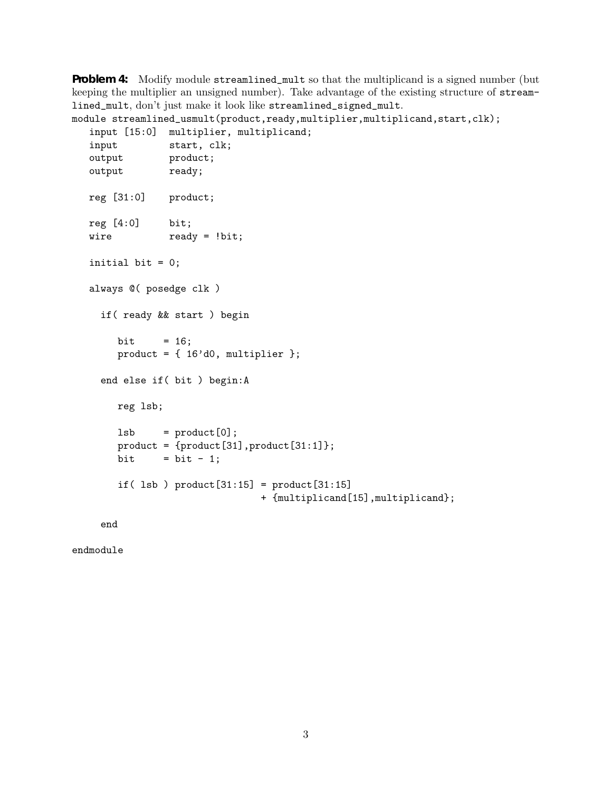**Problem 4:** Modify module streamlined\_mult so that the multiplicand is a signed number (but keeping the multiplier an unsigned number). Take advantage of the existing structure of streamlined\_mult, don't just make it look like streamlined\_signed\_mult.

```
module streamlined_usmult(product,ready,multiplier,multiplicand,start,clk);
input [15:0] multiplier, multiplicand;
input start, clk;
output product;
output ready;
reg [31:0] product;
reg [4:0] bit;
wire ready = !bit;
initial bit = 0;
always @( posedge clk )
  if( ready && start ) begin
     bit = 16;
     product = \{ 16' d0, multiplier \};end else if( bit ) begin:A
     reg lsb;
     lsb = product[0];product = {product}[31],product[31:1];
     bit = bit - 1;
     if( lsb ) product[31:15] = product[31:15]+ {multiplicand[15],multiplicand};
```
end

endmodule